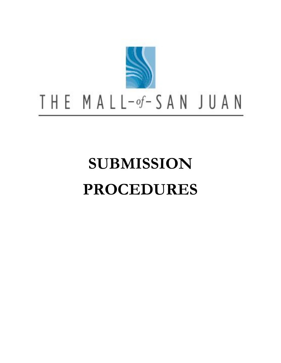

# THE MALL-of-SAN JUAN

# **SUBMISSION PROCEDURES**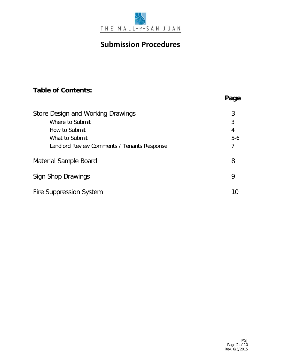

# **Table of Contents:**

| Store Design and Working Drawings           | 3     |
|---------------------------------------------|-------|
| Where to Submit                             | 3     |
| How to Submit                               | 4     |
| What to Submit                              | $5-6$ |
| Landlord Review Comments / Tenants Response | 7     |
| Material Sample Board                       | 8     |
| Sign Shop Drawings                          | 9     |
| <b>Fire Suppression System</b>              | 10    |

**Page**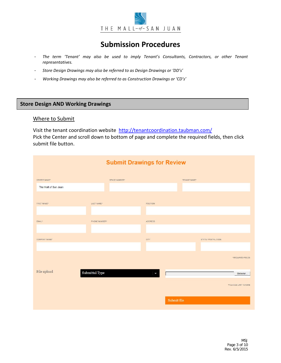

- *The term 'Tenant' may also be used to imply Tenant's Consultants, Contractors, or other Tenant representatives.*
- *Store Design Drawings may also be referred to as Design Drawings or 'DD's'*
- *Working Drawings may also be referred to as Construction Drawings or 'CD's'*

# **Store Design AND Working Drawings**

#### Where to Submit

Visit the tenant coordination website<http://tenantcoordination.taubman.com/> Pick the Center and scroll down to bottom of page and complete the required fields, then click submit file button.

| <b>Submit Drawings for Review</b> |                         |                 |              |                          |  |
|-----------------------------------|-------------------------|-----------------|--------------|--------------------------|--|
| CENTER NAME*                      | SPACE NUMBER*           |                 | TENANT NAME* |                          |  |
| The Mall of San Juan              |                         |                 |              |                          |  |
| FIRST NAME*                       | LAST NAME*              | <b>POSITION</b> |              |                          |  |
| EMAIL*                            | PHONE NUMBER*           | ADDRESS         |              |                          |  |
| COMPANY NAME*                     |                         | CITY            |              | STATE / POSTAL CODE      |  |
|                                   |                         |                 |              | * REQUIRED FIELDS        |  |
| File upload                       | ${\bf Submitted\ Type}$ | J               |              | Browse                   |  |
|                                   |                         |                 |              | *FILE SIZE LIMIT IS 50MB |  |
|                                   |                         |                 | Submit file  |                          |  |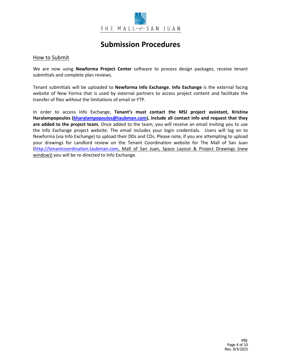

## How to Submit

We are now using **Newforma Project Center** software to process design packages, receive tenant submittals and complete plan reviews.

Tenant submittals will be uploaded to **Newforma Info Exchange. Info Exchange** is the external facing website of New Forma that is used by external partners to access project content and facilitate the transfer of files without the limitations of email or FTP.

In order to access Info Exchange, **Tenant's must contact the MSJ project assistant, Kristina Haralampopoulos (kharalampopoulos@taubman.com), include all contact info and request that they are added to the project team.** Once added to the team, you will receive an email inviting you to use the Info Exchange project website. The email includes your login credentials. Users will log on to Newforma (via Info Exchange) to upload their DDs and CDs. Please note, if you are attempting to upload your drawings for Landlord review on the Tenant Coordination website for The Mall of San Juan [\(http://tenantcoordination.taubman.com,](http://tenantcoordination.taubman.com/) Mall of San Juan, Space Layout & Project Drawings (new window)) you will be re-directed to Info Exchange.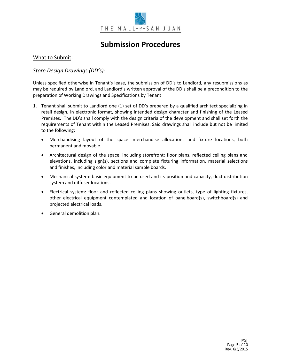

## What to Submit:

## *Store Design Drawings (DD's):*

Unless specified otherwise in Tenant's lease, the submission of DD's to Landlord, any resubmissions as may be required by Landlord, and Landlord's written approval of the DD's shall be a precondition to the preparation of Working Drawings and Specifications by Tenant

- 1. Tenant shall submit to Landlord one (1) set of DD's prepared by a qualified architect specializing in retail design, in electronic format, showing intended design character and finishing of the Leased Premises. The DD's shall comply with the design criteria of the development and shall set forth the requirements of Tenant within the Leased Premises. Said drawings shall include but not be limited to the following:
	- Merchandising layout of the space: merchandise allocations and fixture locations, both permanent and movable.
	- Architectural design of the space, including storefront: floor plans, reflected ceiling plans and elevations, including sign(s), sections and complete fixturing information, material selections and finishes, including color and material sample boards.
	- Mechanical system: basic equipment to be used and its position and capacity, duct distribution system and diffuser locations.
	- Electrical system: floor and reflected ceiling plans showing outlets, type of lighting fixtures, other electrical equipment contemplated and location of panelboard(s), switchboard(s) and projected electrical loads.
	- General demolition plan.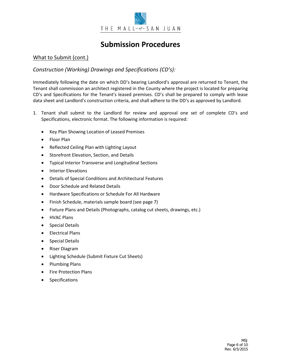

# What to Submit (cont.)

# *Construction (Working) Drawings and Specifications (CD's):*

Immediately following the date on which DD's bearing Landlord's approval are returned to Tenant, the Tenant shall commission an architect registered in the County where the project is located for preparing CD's and Specifications for the Tenant's leased premises. CD's shall be prepared to comply with lease data sheet and Landlord's construction criteria, and shall adhere to the DD's as approved by Landlord.

- 1. Tenant shall submit to the Landlord for review and approval one set of complete CD's and Specifications, electronic format. The following information is required:
	- Key Plan Showing Location of Leased Premises
	- Floor Plan
	- Reflected Ceiling Plan with Lighting Layout
	- Storefront Elevation, Section, and Details
	- Typical Interior Transverse and Longitudinal Sections
	- Interior Elevations
	- Details of Special Conditions and Architectural Features
	- Door Schedule and Related Details
	- Hardware Specifications or Schedule For All Hardware
	- Finish Schedule, materials sample board (see page 7)
	- Fixture Plans and Details (Photographs, catalog cut sheets, drawings, etc.)
	- HVAC Plans
	- Special Details
	- Electrical Plans
	- Special Details
	- Riser Diagram
	- Lighting Schedule (Submit Fixture Cut Sheets)
	- Plumbing Plans
	- Fire Protection Plans
	- **Specifications**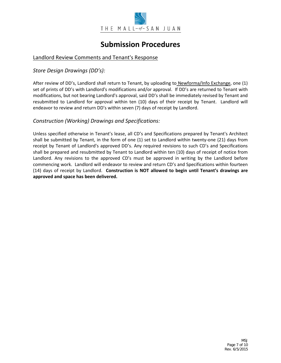

# Landlord Review Comments and Tenant's Response

*Store Design Drawings (DD's):*

After review of DD's, Landlord shall return to Tenant, by uploading to Newforma/Info Exchange, one (1) set of prints of DD's with Landlord's modifications and/or approval. If DD's are returned to Tenant with modifications, but not bearing Landlord's approval, said DD's shall be immediately revised by Tenant and resubmitted to Landlord for approval within ten (10) days of their receipt by Tenant. Landlord will endeavor to review and return DD's within seven (7) days of receipt by Landlord.

## *Construction (Working) Drawings and Specifications:*

Unless specified otherwise in Tenant's lease, all CD's and Specifications prepared by Tenant's Architect shall be submitted by Tenant, in the form of one (1) set to Landlord within twenty-one (21) days from receipt by Tenant of Landlord's approved DD's. Any required revisions to such CD's and Specifications shall be prepared and resubmitted by Tenant to Landlord within ten (10) days of receipt of notice from Landlord. Any revisions to the approved CD's must be approved in writing by the Landlord before commencing work. Landlord will endeavor to review and return CD's and Specifications within fourteen (14) days of receipt by Landlord. **Construction is NOT allowed to begin until Tenant's drawings are approved and space has been delivered.**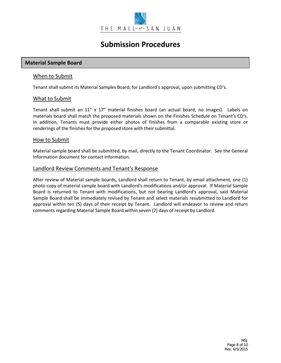

## **Material Sample Board**

## When to Submit

Tenant shall submit its Material Samples Board, for Landlord's approval, upon submitting CD's.

## What to Submit

Tenant shall submit an 11" x 17" material finishes board (an actual board, no images). Labels on materials board shall match the proposed materials shown on the Finishes Schedule on Tenant's CD's. In addition, Tenants must provide either photos of finishes from a comparable existing store or renderings of the finishes for the proposed store with their submittal.

## How to Submit

Material sample board shall be submitted, by mail, directly to the Tenant Coordinator. See the General Information document for contact information.

## Landlord Review Comments and Tenant's Response

After review of Material sample boards, Landlord shall return to Tenant, by email attachment, one (1) photo copy of material sample board with Landlord's modifications and/or approval. If Material Sample Board is returned to Tenant with modifications, but not bearing Landlord's approval, said Material Sample Board shall be immediately revised by Tenant and select materials resubmitted to Landlord for approval within ten (5) days of their receipt by Tenant. Landlord will endeavor to review and return comments regarding Material Sample Board within seven (7) days of receipt by Landlord.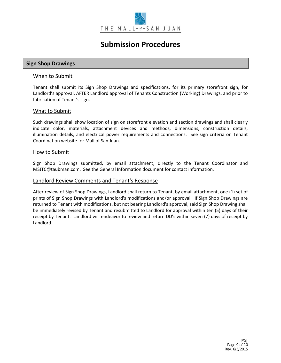

## **Sign Shop Drawings**

#### When to Submit

Tenant shall submit its Sign Shop Drawings and specifications, for its primary storefront sign, for Landlord's approval, AFTER Landlord approval of Tenants Construction (Working) Drawings, and prior to fabrication of Tenant's sign.

#### What to Submit

Such drawings shall show location of sign on storefront elevation and section drawings and shall clearly indicate color, materials, attachment devices and methods, dimensions, construction details, illumination details, and electrical power requirements and connections. See sign criteria on Tenant Coordination website for Mall of San Juan.

#### How to Submit

Sign Shop Drawings submitted, by email attachment, directly to the Tenant Coordinator and MSJTC@taubman.com. See the General Information document for contact information.

#### Landlord Review Comments and Tenant's Response

After review of Sign Shop Drawings, Landlord shall return to Tenant, by email attachment, one (1) set of prints of Sign Shop Drawings with Landlord's modifications and/or approval. If Sign Shop Drawings are returned to Tenant with modifications, but not bearing Landlord's approval, said Sign Shop Drawing shall be immediately revised by Tenant and resubmitted to Landlord for approval within ten (5) days of their receipt by Tenant. Landlord will endeavor to review and return DD's within seven (7) days of receipt by Landlord.